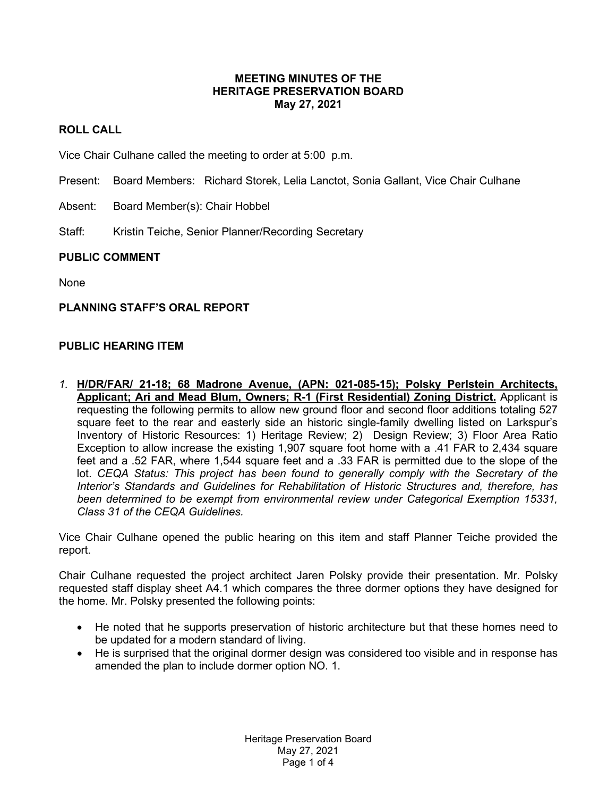### **MEETING MINUTES OF THE HERITAGE PRESERVATION BOARD May 27, 2021**

# **ROLL CALL**

Vice Chair Culhane called the meeting to order at 5:00 p.m.

- Present: Board Members: Richard Storek, Lelia Lanctot, Sonia Gallant, Vice Chair Culhane
- Absent: Board Member(s): Chair Hobbel
- Staff: Kristin Teiche, Senior Planner/Recording Secretary

### **PUBLIC COMMENT**

None

#### **PLANNING STAFF'S ORAL REPORT**

### **PUBLIC HEARING ITEM**

*1.* **H/DR/FAR/ 21-18; 68 Madrone Avenue, (APN: 021-085-15); Polsky Perlstein Architects, Applicant; Ari and Mead Blum, Owners; R-1 (First Residential) Zoning District.** Applicant is requesting the following permits to allow new ground floor and second floor additions totaling 527 square feet to the rear and easterly side an historic single-family dwelling listed on Larkspur's Inventory of Historic Resources: 1) Heritage Review; 2) Design Review; 3) Floor Area Ratio Exception to allow increase the existing 1,907 square foot home with a .41 FAR to 2,434 square feet and a .52 FAR, where 1,544 square feet and a .33 FAR is permitted due to the slope of the lot. *CEQA Status: This project has been found to generally comply with the Secretary of the Interior's Standards and Guidelines for Rehabilitation of Historic Structures and, therefore, has been determined to be exempt from environmental review under Categorical Exemption 15331, Class 31 of the CEQA Guidelines.* 

Vice Chair Culhane opened the public hearing on this item and staff Planner Teiche provided the report.

Chair Culhane requested the project architect Jaren Polsky provide their presentation. Mr. Polsky requested staff display sheet A4.1 which compares the three dormer options they have designed for the home. Mr. Polsky presented the following points:

- He noted that he supports preservation of historic architecture but that these homes need to be updated for a modern standard of living.
- He is surprised that the original dormer design was considered too visible and in response has amended the plan to include dormer option NO. 1.

Heritage Preservation Board May 27, 2021 Page 1 of 4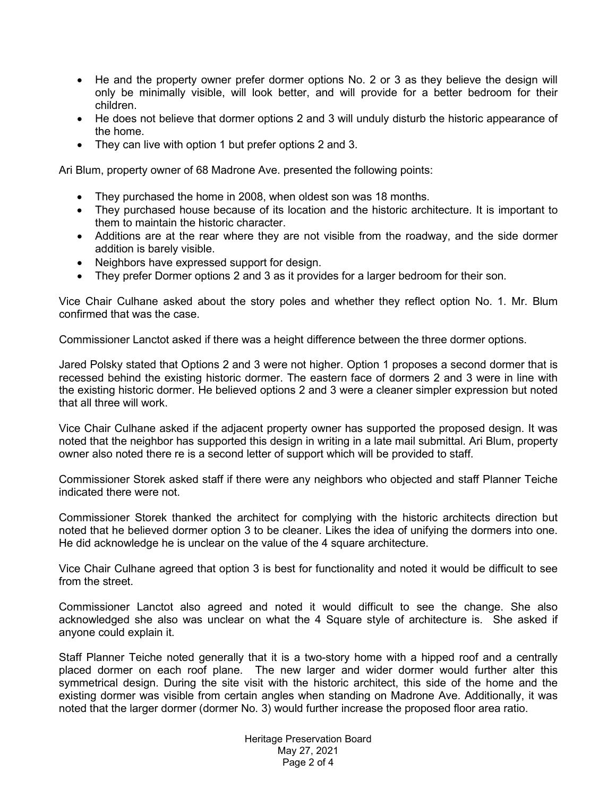- He and the property owner prefer dormer options No. 2 or 3 as they believe the design will only be minimally visible, will look better, and will provide for a better bedroom for their children.
- He does not believe that dormer options 2 and 3 will unduly disturb the historic appearance of the home.
- They can live with option 1 but prefer options 2 and 3.

Ari Blum, property owner of 68 Madrone Ave. presented the following points:

- They purchased the home in 2008, when oldest son was 18 months.
- They purchased house because of its location and the historic architecture. It is important to them to maintain the historic character.
- Additions are at the rear where they are not visible from the roadway, and the side dormer addition is barely visible.
- Neighbors have expressed support for design.
- They prefer Dormer options 2 and 3 as it provides for a larger bedroom for their son.

Vice Chair Culhane asked about the story poles and whether they reflect option No. 1. Mr. Blum confirmed that was the case.

Commissioner Lanctot asked if there was a height difference between the three dormer options.

Jared Polsky stated that Options 2 and 3 were not higher. Option 1 proposes a second dormer that is recessed behind the existing historic dormer. The eastern face of dormers 2 and 3 were in line with the existing historic dormer. He believed options 2 and 3 were a cleaner simpler expression but noted that all three will work.

Vice Chair Culhane asked if the adjacent property owner has supported the proposed design. It was noted that the neighbor has supported this design in writing in a late mail submittal. Ari Blum, property owner also noted there re is a second letter of support which will be provided to staff.

Commissioner Storek asked staff if there were any neighbors who objected and staff Planner Teiche indicated there were not.

Commissioner Storek thanked the architect for complying with the historic architects direction but noted that he believed dormer option 3 to be cleaner. Likes the idea of unifying the dormers into one. He did acknowledge he is unclear on the value of the 4 square architecture.

Vice Chair Culhane agreed that option 3 is best for functionality and noted it would be difficult to see from the street.

Commissioner Lanctot also agreed and noted it would difficult to see the change. She also acknowledged she also was unclear on what the 4 Square style of architecture is. She asked if anyone could explain it.

Staff Planner Teiche noted generally that it is a two-story home with a hipped roof and a centrally placed dormer on each roof plane. The new larger and wider dormer would further alter this symmetrical design. During the site visit with the historic architect, this side of the home and the existing dormer was visible from certain angles when standing on Madrone Ave. Additionally, it was noted that the larger dormer (dormer No. 3) would further increase the proposed floor area ratio.

> Heritage Preservation Board May 27, 2021 Page 2 of 4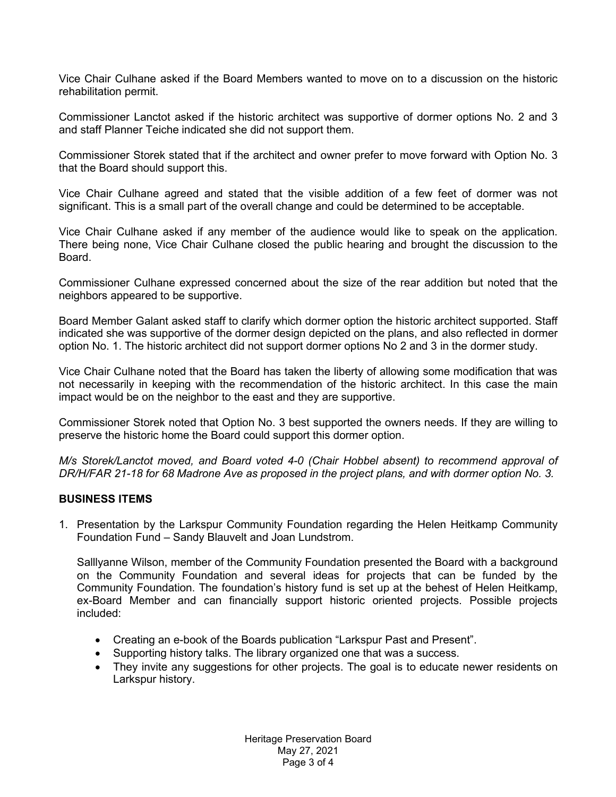Vice Chair Culhane asked if the Board Members wanted to move on to a discussion on the historic rehabilitation permit.

Commissioner Lanctot asked if the historic architect was supportive of dormer options No. 2 and 3 and staff Planner Teiche indicated she did not support them.

Commissioner Storek stated that if the architect and owner prefer to move forward with Option No. 3 that the Board should support this.

Vice Chair Culhane agreed and stated that the visible addition of a few feet of dormer was not significant. This is a small part of the overall change and could be determined to be acceptable.

Vice Chair Culhane asked if any member of the audience would like to speak on the application. There being none, Vice Chair Culhane closed the public hearing and brought the discussion to the Board.

Commissioner Culhane expressed concerned about the size of the rear addition but noted that the neighbors appeared to be supportive.

Board Member Galant asked staff to clarify which dormer option the historic architect supported. Staff indicated she was supportive of the dormer design depicted on the plans, and also reflected in dormer option No. 1. The historic architect did not support dormer options No 2 and 3 in the dormer study.

Vice Chair Culhane noted that the Board has taken the liberty of allowing some modification that was not necessarily in keeping with the recommendation of the historic architect. In this case the main impact would be on the neighbor to the east and they are supportive.

Commissioner Storek noted that Option No. 3 best supported the owners needs. If they are willing to preserve the historic home the Board could support this dormer option.

*M/s Storek/Lanctot moved, and Board voted 4-0 (Chair Hobbel absent) to recommend approval of DR/H/FAR 21-18 for 68 Madrone Ave as proposed in the project plans, and with dormer option No. 3.*

## **BUSINESS ITEMS**

1. Presentation by the Larkspur Community Foundation regarding the Helen Heitkamp Community Foundation Fund – Sandy Blauvelt and Joan Lundstrom.

Salllyanne Wilson, member of the Community Foundation presented the Board with a background on the Community Foundation and several ideas for projects that can be funded by the Community Foundation. The foundation's history fund is set up at the behest of Helen Heitkamp, ex-Board Member and can financially support historic oriented projects. Possible projects included:

- Creating an e-book of the Boards publication "Larkspur Past and Present".
- Supporting history talks. The library organized one that was a success.
- They invite any suggestions for other projects. The goal is to educate newer residents on Larkspur history.